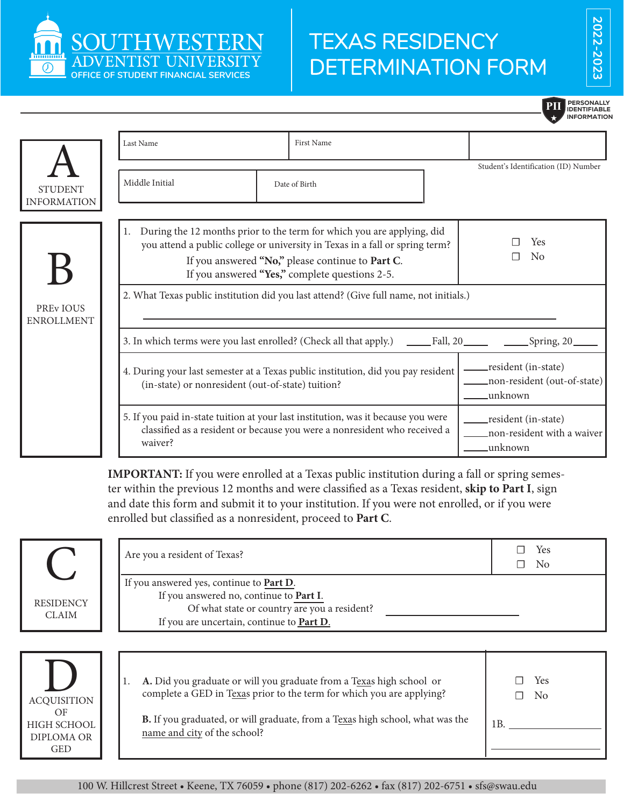

## TEXAS RESIDENCY DETERMINATION FORM

**202 2-202 3**

|                                      |                                                   |                                                                                                                                                                                                                                                                 | <b>PERSONALLY</b><br><b>IDENTIFIABLE</b><br>INFORMATION       |
|--------------------------------------|---------------------------------------------------|-----------------------------------------------------------------------------------------------------------------------------------------------------------------------------------------------------------------------------------------------------------------|---------------------------------------------------------------|
|                                      | Last Name                                         | First Name                                                                                                                                                                                                                                                      |                                                               |
| <b>STUDENT</b><br><b>INFORMATION</b> | Middle Initial                                    | Date of Birth                                                                                                                                                                                                                                                   | Student's Identification (ID) Number                          |
|                                      |                                                   | 1. During the 12 months prior to the term for which you are applying, did<br>you attend a public college or university in Texas in a fall or spring term?<br>If you answered "No," please continue to Part C.<br>If you answered "Yes," complete questions 2-5. | Yes<br>$\rm No$                                               |
| <b>PREVIOUS</b><br><b>ENROLLMENT</b> |                                                   | 2. What Texas public institution did you last attend? (Give full name, not initials.)<br>3. In which terms were you last enrolled? (Check all that apply.) ______Fall, 20______ ________Spring, 20____                                                          |                                                               |
|                                      | (in-state) or nonresident (out-of-state) tuition? | 4. During your last semester at a Texas public institution, did you pay resident                                                                                                                                                                                | resident (in-state)<br>non-resident (out-of-state)<br>unknown |
|                                      | waiver?                                           | 5. If you paid in-state tuition at your last institution, was it because you were<br>classified as a resident or because you were a nonresident who received a                                                                                                  | resident (in-state)<br>non-resident with a waiver<br>unknown_ |

**IMPORTANT:** If you were enrolled at a Texas public institution during a fall or spring semester within the previous 12 months and were classified as a Texas resident, **skip to Part I**, sign and date this form and submit it to your institution. If you were not enrolled, or if you were enrolled but classified as a nonresident, proceed to **Part C**.

|                                                                            | Are you a resident of Texas?                                                                                                                                                                                                                                   | Yes<br>N <sub>o</sub>  |
|----------------------------------------------------------------------------|----------------------------------------------------------------------------------------------------------------------------------------------------------------------------------------------------------------------------------------------------------------|------------------------|
| <b>RESIDENCY</b><br><b>CLAIM</b>                                           | If you answered yes, continue to Part D.<br>If you answered no, continue to Part I.<br>Of what state or country are you a resident?<br>If you are uncertain, continue to Part D.                                                                               |                        |
| <b>ACQUISITION</b><br>OF<br>HIGH SCHOOL<br><b>DIPLOMA OR</b><br><b>GED</b> | A. Did you graduate or will you graduate from a Texas high school or<br>complete a GED in Texas prior to the term for which you are applying?<br>B. If you graduated, or will graduate, from a Texas high school, what was the<br>name and city of the school? | Yes<br>$\rm No$<br>1B. |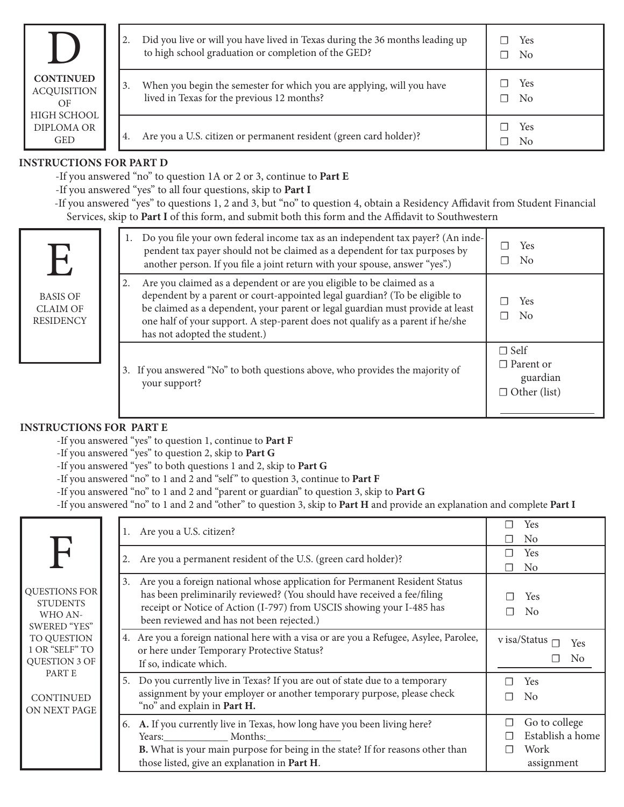|                                                |    | Did you live or will you have lived in Texas during the 36 months leading up<br>to high school graduation or completion of the GED? | Yes<br>N <sub>0</sub><br>$\perp$            |
|------------------------------------------------|----|-------------------------------------------------------------------------------------------------------------------------------------|---------------------------------------------|
| <b>CONTINUED</b><br><b>ACQUISITION</b><br>OF   | 3. | When you begin the semester for which you are applying, will you have<br>lived in Texas for the previous 12 months?                 | Yes<br>N <sub>0</sub><br>$\mathbf{I}$       |
| HIGH SCHOOL<br><b>DIPLOMA OR</b><br><b>GED</b> | 4. | Are you a U.S. citizen or permanent resident (green card holder)?                                                                   | Yes<br>-1<br>N <sub>0</sub><br>$\mathbf{I}$ |

## **Instructions for Part D**

-If you answered "no" to question 1A or 2 or 3, continue to **Part E**

-If you answered "yes" to all four questions, skip to **Part I**

-If you answered "yes" to questions 1, 2 and 3, but "no" to question 4, obtain a Residency Affidavit from Student Financial Services, skip to **Part I** of this form, and submit both this form and the Affidavit to Southwestern

| U<br><b>BASIS OF</b><br><b>CLAIM OF</b><br><b>RESIDENCY</b> | 1. Do you file your own federal income tax as an independent tax payer? (An inde-<br>pendent tax payer should not be claimed as a dependent for tax purposes by<br>another person. If you file a joint return with your spouse, answer "yes".)                                                                                                                  | Yes<br>No                                                          |
|-------------------------------------------------------------|-----------------------------------------------------------------------------------------------------------------------------------------------------------------------------------------------------------------------------------------------------------------------------------------------------------------------------------------------------------------|--------------------------------------------------------------------|
|                                                             | Are you claimed as a dependent or are you eligible to be claimed as a<br>2.<br>dependent by a parent or court-appointed legal guardian? (To be eligible to<br>be claimed as a dependent, your parent or legal guardian must provide at least<br>one half of your support. A step-parent does not qualify as a parent if he/she<br>has not adopted the student.) | Yes<br>No                                                          |
|                                                             | 3. If you answered "No" to both questions above, who provides the majority of<br>your support?                                                                                                                                                                                                                                                                  | $\Box$ Self<br>$\Box$ Parent or<br>guardian<br>$\Box$ Other (list) |

## **INSTRUCTIONS FOR PART E**

-If you answered "yes" to question 1, continue to **Part F**

-If you answered "yes" to question 2, skip to **Part G**

-If you answered "yes" to both questions 1 and 2, skip to **Part G**

-If you answered "no" to 1 and 2 and "self " to question 3, continue to **Part F**

-If you answered "no" to 1 and 2 and "parent or guardian" to question 3, skip to **Part G**

-If you answered "no" to 1 and 2 and "other" to question 3, skip to **Part H** and provide an explanation and complete **Part I**

|                                                                                                                      | 1. Are you a U.S. citizen?                                                                                                                                                                                                                                                     | Yes<br>N <sub>0</sub>                                                  |
|----------------------------------------------------------------------------------------------------------------------|--------------------------------------------------------------------------------------------------------------------------------------------------------------------------------------------------------------------------------------------------------------------------------|------------------------------------------------------------------------|
|                                                                                                                      | Are you a permanent resident of the U.S. (green card holder)?                                                                                                                                                                                                                  | Yes<br>N <sub>0</sub>                                                  |
| QUESTIONS FOR<br><b>STUDENTS</b><br>WHO AN-<br>SWERED "YES"<br>TO QUESTION<br>1 OR "SELF" TO<br><b>QUESTION 3 OF</b> | 3. Are you a foreign national whose application for Permanent Resident Status<br>has been preliminarily reviewed? (You should have received a fee/filing<br>receipt or Notice of Action (I-797) from USCIS showing your I-485 has<br>been reviewed and has not been rejected.) | Yes<br>N <sub>0</sub><br>$\overline{\phantom{a}}$                      |
|                                                                                                                      | 4. Are you a foreign national here with a visa or are you a Refugee, Asylee, Parolee,<br>or here under Temporary Protective Status?<br>If so, indicate which.                                                                                                                  | v isa/Status<br>Yes                                                    |
| PART E<br>CONTINUED<br>ON NEXT PAGE                                                                                  | 5. Do you currently live in Texas? If you are out of state due to a temporary<br>assignment by your employer or another temporary purpose, please check<br>"no" and explain in Part H.                                                                                         | <b>Yes</b><br>No                                                       |
|                                                                                                                      | 6. A. If you currently live in Texas, how long have you been living here?<br>Years: Months:<br>B. What is your main purpose for being in the state? If for reasons other than<br>those listed, give an explanation in Part H.                                                  | Go to college<br>п<br>Establish a home<br>П<br>Work<br>П<br>assignment |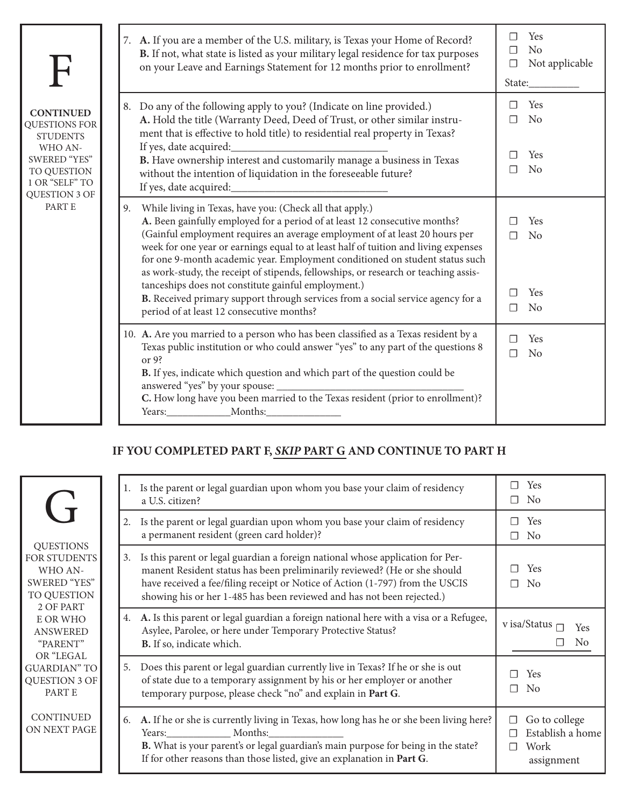| $\mathbf{F}$                                                                                                                                    |    | 7. A. If you are a member of the U.S. military, is Texas your Home of Record?<br>B. If not, what state is listed as your military legal residence for tax purposes<br>on your Leave and Earnings Statement for 12 months prior to enrollment?                                                                                                                                                                                                                                                                                                                                                                                                                              | $\Box$<br>$\Box$<br>□<br>State: | Yes<br>N <sub>o</sub><br>Not applicable        |
|-------------------------------------------------------------------------------------------------------------------------------------------------|----|----------------------------------------------------------------------------------------------------------------------------------------------------------------------------------------------------------------------------------------------------------------------------------------------------------------------------------------------------------------------------------------------------------------------------------------------------------------------------------------------------------------------------------------------------------------------------------------------------------------------------------------------------------------------------|---------------------------------|------------------------------------------------|
| <b>CONTINUED</b><br>QUESTIONS FOR<br><b>STUDENTS</b><br>WHO AN-<br><b>SWERED "YES"</b><br>TO QUESTION<br>1 OR "SELF" TO<br><b>QUESTION 3 OF</b> |    | 8. Do any of the following apply to you? (Indicate on line provided.)<br>A. Hold the title (Warranty Deed, Deed of Trust, or other similar instru-<br>ment that is effective to hold title) to residential real property in Texas?<br>If yes, date acquired:<br>B. Have ownership interest and customarily manage a business in Texas<br>without the intention of liquidation in the foreseeable future?<br>If yes, date acquired:                                                                                                                                                                                                                                         | П<br>П<br>П                     | Yes<br>N <sub>o</sub><br>Yes<br>No             |
| PART E                                                                                                                                          | 9. | While living in Texas, have you: (Check all that apply.)<br>A. Been gainfully employed for a period of at least 12 consecutive months?<br>(Gainful employment requires an average employment of at least 20 hours per<br>week for one year or earnings equal to at least half of tuition and living expenses<br>for one 9-month academic year. Employment conditioned on student status such<br>as work-study, the receipt of stipends, fellowships, or research or teaching assis-<br>tanceships does not constitute gainful employment.)<br>B. Received primary support through services from a social service agency for a<br>period of at least 12 consecutive months? | П<br>П<br>П                     | Yes<br>N <sub>o</sub><br>Yes<br>N <sub>o</sub> |
|                                                                                                                                                 |    | 10. A. Are you married to a person who has been classified as a Texas resident by a<br>Texas public institution or who could answer "yes" to any part of the questions 8<br>or $9$ ?<br>B. If yes, indicate which question and which part of the question could be<br>C. How long have you been married to the Texas resident (prior to enrollment)?                                                                                                                                                                                                                                                                                                                       | П<br>$\Box$                     | Yes<br>N <sub>o</sub>                          |

## **IF YOU COMPLETED PART F,** *SKIP* **PART G AND CONTINUE TO PART H**

|                                                                                                                                                                                                    | Is the parent or legal guardian upon whom you base your claim of residency<br>1.<br>a U.S. citizen?                                                                                                                                                                                                                          | Yes<br>N <sub>0</sub>                                                  |
|----------------------------------------------------------------------------------------------------------------------------------------------------------------------------------------------------|------------------------------------------------------------------------------------------------------------------------------------------------------------------------------------------------------------------------------------------------------------------------------------------------------------------------------|------------------------------------------------------------------------|
|                                                                                                                                                                                                    | Is the parent or legal guardian upon whom you base your claim of residency<br>2.<br>a permanent resident (green card holder)?                                                                                                                                                                                                | <b>Yes</b><br>N <sub>0</sub>                                           |
| <b>QUESTIONS</b><br>FOR STUDENTS<br>WHO AN-<br>SWERED "YES"<br>TO QUESTION<br>2 OF PART<br>E OR WHO<br><b>ANSWERED</b><br>"PARENT"<br>OR "LEGAL<br><b>GUARDIAN</b> " TO<br>QUESTION 3 OF<br>PART E | Is this parent or legal guardian a foreign national whose application for Per-<br>3.<br>manent Resident status has been preliminarily reviewed? (He or she should<br>have received a fee/filing receipt or Notice of Action (1-797) from the USCIS<br>showing his or her 1-485 has been reviewed and has not been rejected.) | Yes<br>N <sub>0</sub>                                                  |
|                                                                                                                                                                                                    | 4. A. Is this parent or legal guardian a foreign national here with a visa or a Refugee,<br>Asylee, Parolee, or here under Temporary Protective Status?<br>B. If so, indicate which.                                                                                                                                         | v isa/Status<br>Yes<br>No                                              |
|                                                                                                                                                                                                    | Does this parent or legal guardian currently live in Texas? If he or she is out<br>5.<br>of state due to a temporary assignment by his or her employer or another<br>temporary purpose, please check "no" and explain in Part G.                                                                                             | Yes<br>N <sub>0</sub><br>П                                             |
| CONTINUED<br>ON NEXT PAGE                                                                                                                                                                          | A. If he or she is currently living in Texas, how long has he or she been living here?<br>6.<br>Years: Months:<br>B. What is your parent's or legal guardian's main purpose for being in the state?<br>If for other reasons than those listed, give an explanation in Part G.                                                | Go to college<br>□<br>Establish a home<br>П<br>Work<br>П<br>assignment |